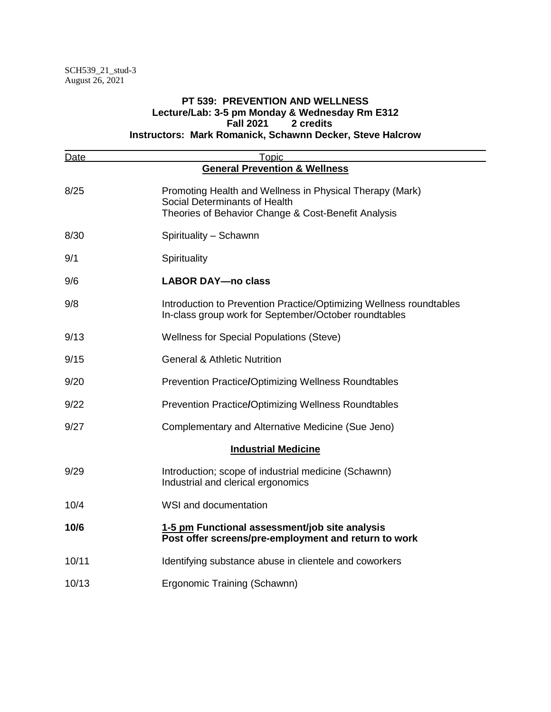#### **PT 539: PREVENTION AND WELLNESS Lecture/Lab: 3-5 pm Monday & Wednesday Rm E312 Fall 2021 2 credits Instructors: Mark Romanick, Schawnn Decker, Steve Halcrow**

| <b>Date</b>                              | <b>Topic</b>                                                                                                                                     |  |
|------------------------------------------|--------------------------------------------------------------------------------------------------------------------------------------------------|--|
| <b>General Prevention &amp; Wellness</b> |                                                                                                                                                  |  |
| 8/25                                     | Promoting Health and Wellness in Physical Therapy (Mark)<br>Social Determinants of Health<br>Theories of Behavior Change & Cost-Benefit Analysis |  |
| 8/30                                     | Spirituality - Schawnn                                                                                                                           |  |
| 9/1                                      | Spirituality                                                                                                                                     |  |
| 9/6                                      | <b>LABOR DAY-no class</b>                                                                                                                        |  |
| 9/8                                      | Introduction to Prevention Practice/Optimizing Wellness roundtables<br>In-class group work for September/October roundtables                     |  |
| 9/13                                     | <b>Wellness for Special Populations (Steve)</b>                                                                                                  |  |
| 9/15                                     | <b>General &amp; Athletic Nutrition</b>                                                                                                          |  |
| 9/20                                     | <b>Prevention Practice/Optimizing Wellness Roundtables</b>                                                                                       |  |
| 9/22                                     | <b>Prevention Practice/Optimizing Wellness Roundtables</b>                                                                                       |  |
| 9/27                                     | Complementary and Alternative Medicine (Sue Jeno)                                                                                                |  |
| <b>Industrial Medicine</b>               |                                                                                                                                                  |  |
| 9/29                                     | Introduction; scope of industrial medicine (Schawnn)<br>Industrial and clerical ergonomics                                                       |  |
| 10/4                                     | WSI and documentation                                                                                                                            |  |
| 10/6                                     | 1-5 pm Functional assessment/job site analysis<br>Post offer screens/pre-employment and return to work                                           |  |
| 10/11                                    | Identifying substance abuse in clientele and coworkers                                                                                           |  |
| 10/13                                    | Ergonomic Training (Schawnn)                                                                                                                     |  |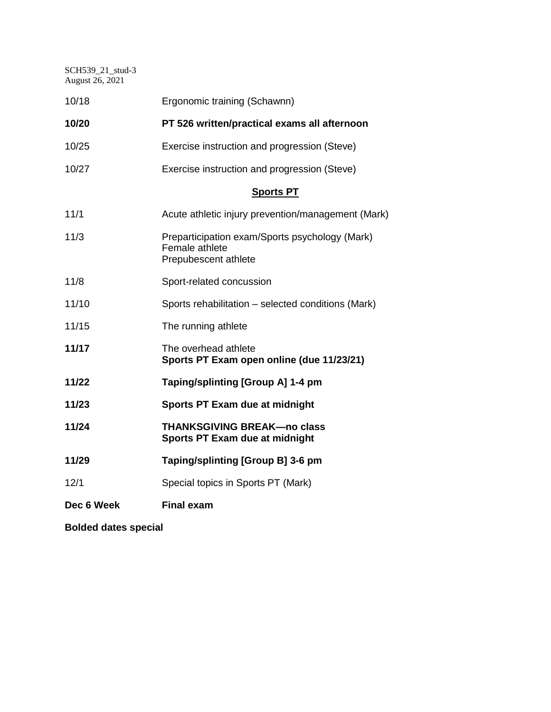SCH539\_21\_stud-3 August 26, 2021

| 10/18      | Ergonomic training (Schawnn)                                                             |
|------------|------------------------------------------------------------------------------------------|
| 10/20      | PT 526 written/practical exams all afternoon                                             |
| 10/25      | Exercise instruction and progression (Steve)                                             |
| 10/27      | Exercise instruction and progression (Steve)                                             |
|            | <b>Sports PT</b>                                                                         |
| 11/1       | Acute athletic injury prevention/management (Mark)                                       |
| 11/3       | Preparticipation exam/Sports psychology (Mark)<br>Female athlete<br>Prepubescent athlete |
| 11/8       | Sport-related concussion                                                                 |
| 11/10      | Sports rehabilitation - selected conditions (Mark)                                       |
| 11/15      | The running athlete                                                                      |
| 11/17      | The overhead athlete<br>Sports PT Exam open online (due 11/23/21)                        |
| 11/22      | Taping/splinting [Group A] 1-4 pm                                                        |
| 11/23      | Sports PT Exam due at midnight                                                           |
| 11/24      | <b>THANKSGIVING BREAK-no class</b><br>Sports PT Exam due at midnight                     |
| 11/29      | Taping/splinting [Group B] 3-6 pm                                                        |
| 12/1       | Special topics in Sports PT (Mark)                                                       |
| Dec 6 Week | <b>Final exam</b>                                                                        |

**Bolded dates special**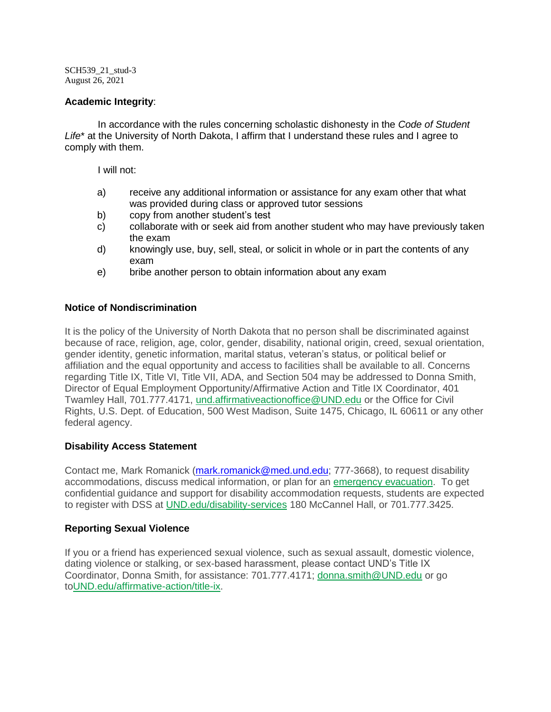SCH539\_21\_stud-3 August 26, 2021

#### **Academic Integrity**:

In accordance with the rules concerning scholastic dishonesty in the *Code of Student Life*\* at the University of North Dakota, I affirm that I understand these rules and I agree to comply with them.

I will not:

- a) receive any additional information or assistance for any exam other that what was provided during class or approved tutor sessions
- b) copy from another student's test
- c) collaborate with or seek aid from another student who may have previously taken the exam
- d) knowingly use, buy, sell, steal, or solicit in whole or in part the contents of any exam
- e) bribe another person to obtain information about any exam

### **Notice of Nondiscrimination**

It is the policy of the University of North Dakota that no person shall be discriminated against because of race, religion, age, color, gender, disability, national origin, creed, sexual orientation, gender identity, genetic information, marital status, veteran's status, or political belief or affiliation and the equal opportunity and access to facilities shall be available to all. Concerns regarding Title IX, Title VI, Title VII, ADA, and Section 504 may be addressed to Donna Smith, Director of Equal Employment Opportunity/Affirmative Action and Title IX Coordinator, 401 Twamley Hall, 701.777.4171, [und.affirmativeactionoffice@UND.edu](mailto:und.affirmativeactionoffice@UND.edu) or the Office for Civil Rights, U.S. Dept. of Education, 500 West Madison, Suite 1475, Chicago, IL 60611 or any other federal agency.

#### **Disability Access Statement**

Contact me, Mark Romanick [\(mark.romanick@med.und.edu;](mailto:mark.romanick@med.und.edu) 777-3668), to request disability accommodations, discuss medical information, or plan for an [emergency evacuation.](http://und.edu/public-safety/public-safety/fire-safety.cfm) To get confidential guidance and support for disability accommodation requests, students are expected to register with DSS at [UND.edu/disability-services](http://und.edu/disability-services/index.cfm) 180 McCannel Hall, or 701.777.3425.

## **Reporting Sexual Violence**

If you or a friend has experienced sexual violence, such as sexual assault, domestic violence, dating violence or stalking, or sex-based harassment, please contact UND's Title IX Coordinator, Donna Smith, for assistance: 701.777.4171; [donna.smith@UND.edu](mailto:donna.smith@UND.edu) or go t[oUND.edu/affirmative-action/title-ix.](http://und.edu/affirmative-action/title-ix/index.cfm)